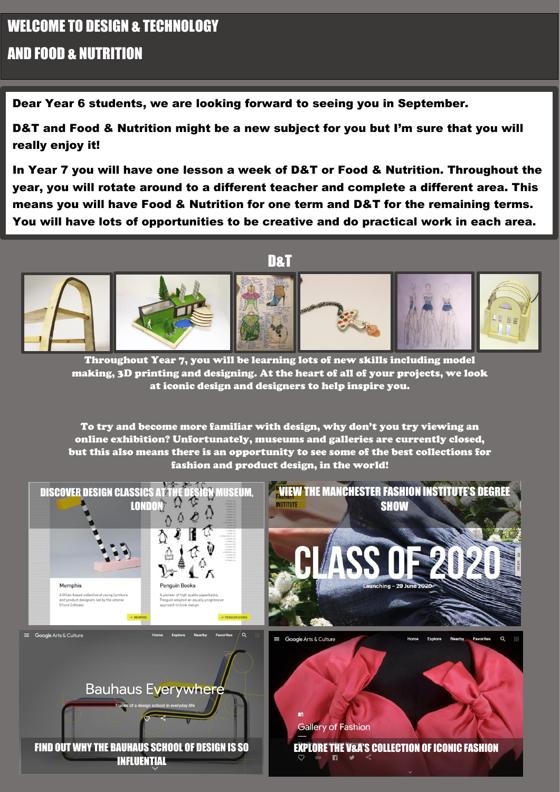## WELCOME TO DESIGN & TECHNOLOGY AND FOOD & NUTRITION

Dear Year 6 students, we are looking forward to seeing you in September.

D&T and Food & Nutrition might be a new subject for you but I'm sure that you will really enjoy it!

In Year 7 you will have one lesson a week of D&T or Food & Nutrition. Throughout the year, you will rotate around to a different teacher and complete a different area. This means you will have Food & Nutrition for one term and D&T for the remaining terms. You will have lots of opportunities to be creative and do practical work in each area.



Throughout Year 7, you will be learning lots of new skills including model making, 3D printing and designing. At the heart of all of your projects, we look at iconic design and designers to help inspire you.

To try and become more familiar with design, why don't you try viewing an online exhibition? Unfortunately, museums and galleries are currently closed, but this also means there is an opportunity to see some of the best collections for fashion and product design, in the world!